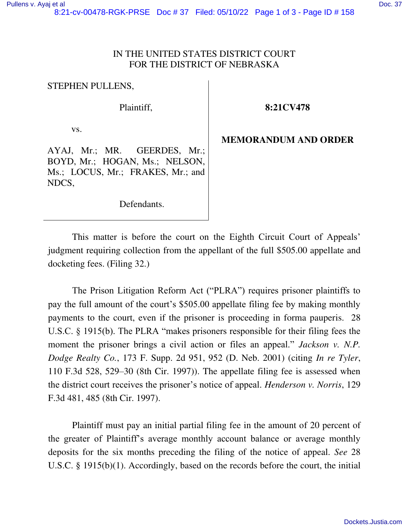## IN THE UNITED STATES DISTRICT COURT FOR THE DISTRICT OF NEBRASKA

STEPHEN PULLENS,

Plaintiff,

**8:21CV478** 

vs.

AYAJ, Mr.; MR. GEERDES, Mr.; BOYD, Mr.; HOGAN, Ms.; NELSON, Ms.; LOCUS, Mr.; FRAKES, Mr.; and NDCS,

**MEMORANDUM AND ORDER** 

Defendants.

This matter is before the court on the Eighth Circuit Court of Appeals' judgment requiring collection from the appellant of the full \$505.00 appellate and docketing fees. (Filing 32.)

The Prison Litigation Reform Act ("PLRA") requires prisoner plaintiffs to pay the full amount of the court's \$505.00 appellate filing fee by making monthly payments to the court, even if the prisoner is proceeding in forma pauperis. 28 U.S.C. § 1915(b). The PLRA "makes prisoners responsible for their filing fees the moment the prisoner brings a civil action or files an appeal." *Jackson v. N.P. Dodge Realty Co.*, 173 F. Supp. 2d 951, 952 (D. Neb. 2001) (citing *In re Tyler*, 110 F.3d 528, 529–30 (8th Cir. 1997)). The appellate filing fee is assessed when the district court receives the prisoner's notice of appeal. *Henderson v. Norris*, 129 F.3d 481, 485 (8th Cir. 1997).

Plaintiff must pay an initial partial filing fee in the amount of 20 percent of the greater of Plaintiff's average monthly account balance or average monthly deposits for the six months preceding the filing of the notice of appeal. *See* 28 U.S.C. § 1915(b)(1). Accordingly, based on the records before the court, the initial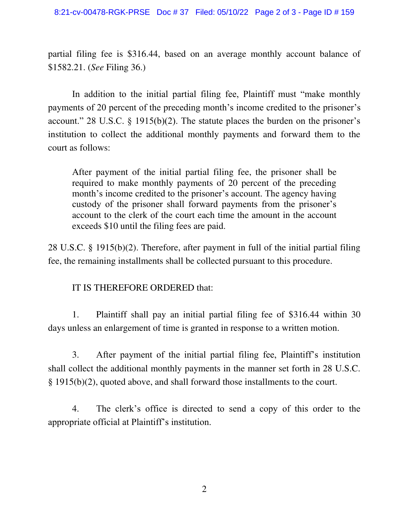partial filing fee is \$316.44, based on an average monthly account balance of \$1582.21. (*See* Filing 36.)

In addition to the initial partial filing fee, Plaintiff must "make monthly payments of 20 percent of the preceding month's income credited to the prisoner's account." 28 U.S.C.  $\S$  1915(b)(2). The statute places the burden on the prisoner's institution to collect the additional monthly payments and forward them to the court as follows:

After payment of the initial partial filing fee, the prisoner shall be required to make monthly payments of 20 percent of the preceding month's income credited to the prisoner's account. The agency having custody of the prisoner shall forward payments from the prisoner's account to the clerk of the court each time the amount in the account exceeds \$10 until the filing fees are paid.

28 U.S.C. § 1915(b)(2). Therefore, after payment in full of the initial partial filing fee, the remaining installments shall be collected pursuant to this procedure.

## IT IS THEREFORE ORDERED that:

1. Plaintiff shall pay an initial partial filing fee of \$316.44 within 30 days unless an enlargement of time is granted in response to a written motion.

3. After payment of the initial partial filing fee, Plaintiff's institution shall collect the additional monthly payments in the manner set forth in 28 U.S.C. § 1915(b)(2), quoted above, and shall forward those installments to the court.

4. The clerk's office is directed to send a copy of this order to the appropriate official at Plaintiff's institution.